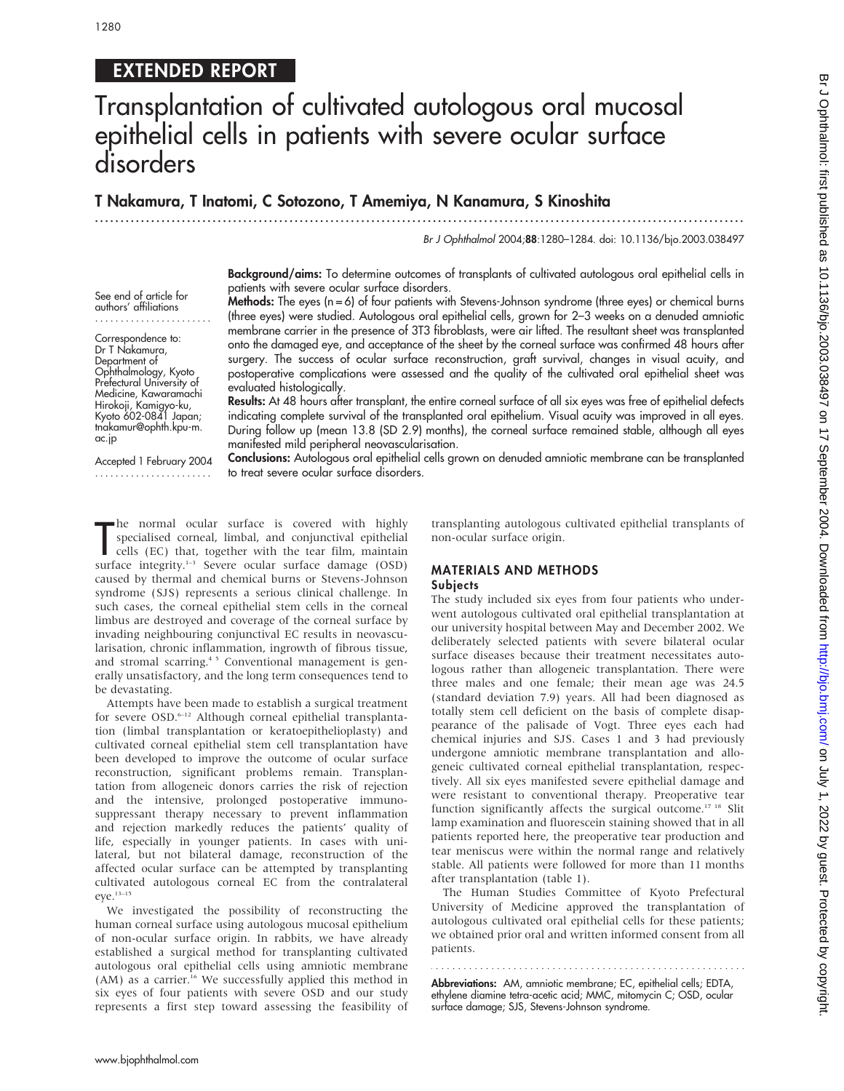## EXTENDED REPORT

# Transplantation of cultivated autologous oral mucosal epithelial cells in patients with severe ocular surface disorders

### T Nakamura, T Inatomi, C Sotozono, T Amemiya, N Kanamura, S Kinoshita

...............................................................................................................................

Br J Ophthalmol 2004;88:1280–1284. doi: 10.1136/bjo.2003.038497

Background/aims: To determine outcomes of transplants of cultivated autologous oral epithelial cells in patients with severe ocular surface disorders.

See end of article for authors' affiliations .......................

Correspondence to: Dr T Nakamura, Department of Ophthalmology, Kyoto Prefectural University of Medicine, Kawaramachi Hirokoji, Kamigyo-ku, Kyoto 602-0841 Japan; tnakamur@ophth.kpu-m. ac.jp

Accepted 1 February 2004 .......................

**Methods:** The eyes ( $n = 6$ ) of four patients with Stevens-Johnson syndrome (three eyes) or chemical burns (three eyes) were studied. Autologous oral epithelial cells, grown for 2–3 weeks on a denuded amniotic membrane carrier in the presence of 3T3 fibroblasts, were air lifted. The resultant sheet was transplanted onto the damaged eye, and acceptance of the sheet by the corneal surface was confirmed 48 hours after surgery. The success of ocular surface reconstruction, graft survival, changes in visual acuity, and postoperative complications were assessed and the quality of the cultivated oral epithelial sheet was evaluated histologically.

Results: At 48 hours after transplant, the entire corneal surface of all six eyes was free of epithelial defects indicating complete survival of the transplanted oral epithelium. Visual acuity was improved in all eyes. During follow up (mean 13.8 (SD 2.9) months), the corneal surface remained stable, although all eyes manifested mild peripheral neovascularisation.

Conclusions: Autologous oral epithelial cells grown on denuded amniotic membrane can be transplanted to treat severe ocular surface disorders.

The normal ocular surface is covered with highly<br>specialised corneal, limbal, and conjunctival epithelial<br>cells (EC) that, together with the tear film, maintain<br>surface integrity.<sup>1–3</sup> Severe ocular surface damage (OSD) he normal ocular surface is covered with highly specialised corneal, limbal, and conjunctival epithelial cells (EC) that, together with the tear film, maintain caused by thermal and chemical burns or Stevens-Johnson syndrome (SJS) represents a serious clinical challenge. In such cases, the corneal epithelial stem cells in the corneal limbus are destroyed and coverage of the corneal surface by invading neighbouring conjunctival EC results in neovascularisation, chronic inflammation, ingrowth of fibrous tissue, and stromal scarring.<sup>45</sup> Conventional management is generally unsatisfactory, and the long term consequences tend to be devastating.

Attempts have been made to establish a surgical treatment for severe OSD.<sup>6-12</sup> Although corneal epithelial transplantation (limbal transplantation or keratoepithelioplasty) and cultivated corneal epithelial stem cell transplantation have been developed to improve the outcome of ocular surface reconstruction, significant problems remain. Transplantation from allogeneic donors carries the risk of rejection and the intensive, prolonged postoperative immunosuppressant therapy necessary to prevent inflammation and rejection markedly reduces the patients' quality of life, especially in younger patients. In cases with unilateral, but not bilateral damage, reconstruction of the affected ocular surface can be attempted by transplanting cultivated autologous corneal EC from the contralateral eye.13–15

We investigated the possibility of reconstructing the human corneal surface using autologous mucosal epithelium of non-ocular surface origin. In rabbits, we have already established a surgical method for transplanting cultivated autologous oral epithelial cells using amniotic membrane (AM) as a carrier.<sup>16</sup> We successfully applied this method in six eyes of four patients with severe OSD and our study represents a first step toward assessing the feasibility of transplanting autologous cultivated epithelial transplants of non-ocular surface origin.

#### MATERIALS AND METHODS Subjects

The study included six eyes from four patients who underwent autologous cultivated oral epithelial transplantation at our university hospital between May and December 2002. We deliberately selected patients with severe bilateral ocular surface diseases because their treatment necessitates autologous rather than allogeneic transplantation. There were three males and one female; their mean age was 24.5 (standard deviation 7.9) years. All had been diagnosed as totally stem cell deficient on the basis of complete disappearance of the palisade of Vogt. Three eyes each had chemical injuries and SJS. Cases 1 and 3 had previously undergone amniotic membrane transplantation and allogeneic cultivated corneal epithelial transplantation, respectively. All six eyes manifested severe epithelial damage and were resistant to conventional therapy. Preoperative tear function significantly affects the surgical outcome.<sup>17 18</sup> Slit lamp examination and fluorescein staining showed that in all patients reported here, the preoperative tear production and tear meniscus were within the normal range and relatively stable. All patients were followed for more than 11 months after transplantation (table 1).

The Human Studies Committee of Kyoto Prefectural University of Medicine approved the transplantation of autologous cultivated oral epithelial cells for these patients; we obtained prior oral and written informed consent from all patients.

Abbreviations: AM, amniotic membrane; EC, epithelial cells; EDTA, ethylene diamine tetra-acetic acid; MMC, mitomycin C; OSD, ocular surface damage; SJS, Stevens-Johnson syndrome.

Br J Ophthalmol: first published as 10.1136/bjo.2003.038497 on 17 September 2004. Downloaded from http://bjo.bmj.com/ on July 1, 2022 by guest. Protected by copyright br. Jon July 1, 2022 by guest. Protected by guest. Publishight. Http://bjo.bmj.com/ Br J Ophthalmol: first published as 10.1136/bjo.2003.03897 on 17 September 2022 by guest. Protected by guest. Protected by guest. Protecte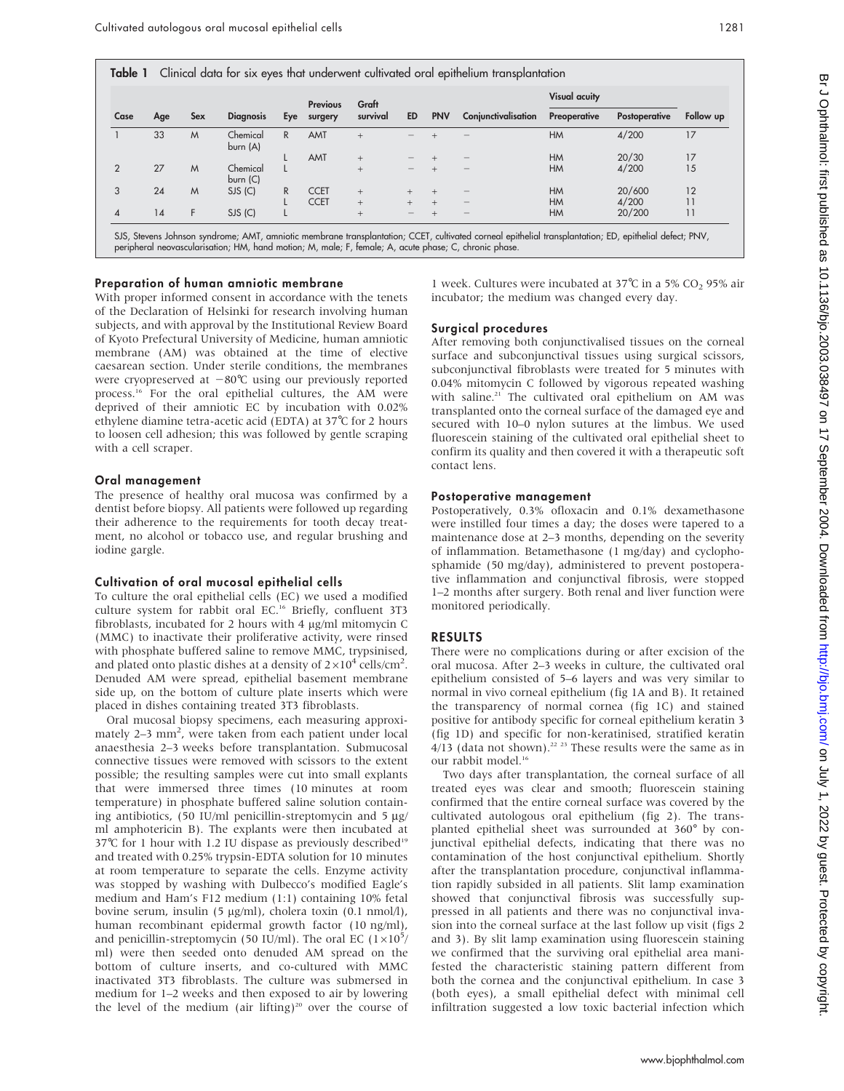| Case           | Age | Sex | <b>Diagnosis</b>     | Eye | <b>Previous</b><br>surgery | Graft<br>survival | <b>ED</b>                       | <b>PNV</b> | Conjunctivalisation | <b>Visual acuity</b> |               |           |
|----------------|-----|-----|----------------------|-----|----------------------------|-------------------|---------------------------------|------------|---------------------|----------------------|---------------|-----------|
|                |     |     |                      |     |                            |                   |                                 |            |                     | Preoperative         | Postoperative | Follow up |
|                | 33  | M   | Chemical<br>burn (A) | R.  | AMT                        | $+$               |                                 |            |                     | <b>HM</b>            | 4/200         | 17        |
|                |     |     |                      |     | AMT                        | $+$               |                                 |            |                     | <b>HM</b>            | 20/30         | 17        |
|                | 27  | M   | Chemical<br>burn(C)  |     |                            | $+$               | $\overline{\phantom{0}}$        |            |                     | <b>HM</b>            | 4/200         | 15        |
| 3              | 24  | M   | SJS (C)              | R.  | <b>CCET</b>                | $+$               | $^{+}$                          |            |                     | <b>HM</b>            | 20/600        | 12        |
|                |     |     |                      |     | <b>CCET</b>                | $+$               | $+$                             | $+$        |                     | <b>HM</b>            | 4/200         | 11        |
| $\overline{A}$ | 14  | F   | SJS(C)               |     |                            | $^{+}$            | $\hspace{0.1mm}-\hspace{0.1mm}$ |            |                     | <b>HM</b>            | 20/200        | 11        |

peripheral neovascularisation; HM, hand motion; M, male; F, female; A, acute phase; C, chronic phase.

#### Preparation of human amniotic membrane

With proper informed consent in accordance with the tenets of the Declaration of Helsinki for research involving human subjects, and with approval by the Institutional Review Board of Kyoto Prefectural University of Medicine, human amniotic membrane (AM) was obtained at the time of elective caesarean section. Under sterile conditions, the membranes were cryopreserved at  $-80^{\circ}$ C using our previously reported process.<sup>16</sup> For the oral epithelial cultures, the AM were deprived of their amniotic EC by incubation with 0.02% ethylene diamine tetra-acetic acid (EDTA) at 37℃ for 2 hours to loosen cell adhesion; this was followed by gentle scraping with a cell scraper.

#### Oral management

The presence of healthy oral mucosa was confirmed by a dentist before biopsy. All patients were followed up regarding their adherence to the requirements for tooth decay treatment, no alcohol or tobacco use, and regular brushing and iodine gargle.

#### Cultivation of oral mucosal epithelial cells

To culture the oral epithelial cells (EC) we used a modified culture system for rabbit oral EC.<sup>16</sup> Briefly, confluent 3T3 fibroblasts, incubated for 2 hours with 4  $\mu$ g/ml mitomycin C (MMC) to inactivate their proliferative activity, were rinsed with phosphate buffered saline to remove MMC, trypsinised, and plated onto plastic dishes at a density of  $2\times10^4$  cells/cm<sup>2</sup>. Denuded AM were spread, epithelial basement membrane side up, on the bottom of culture plate inserts which were placed in dishes containing treated 3T3 fibroblasts.

Oral mucosal biopsy specimens, each measuring approximately 2-3 mm<sup>2</sup>, were taken from each patient under local anaesthesia 2–3 weeks before transplantation. Submucosal connective tissues were removed with scissors to the extent possible; the resulting samples were cut into small explants that were immersed three times (10 minutes at room temperature) in phosphate buffered saline solution containing antibiotics, (50 IU/ml penicillin-streptomycin and 5  $\mu$ g/ ml amphotericin B). The explants were then incubated at 37°C for 1 hour with 1.2 IU dispase as previously described<sup>19</sup> and treated with 0.25% trypsin-EDTA solution for 10 minutes at room temperature to separate the cells. Enzyme activity was stopped by washing with Dulbecco's modified Eagle's medium and Ham's F12 medium (1:1) containing 10% fetal bovine serum, insulin (5  $\mu$ g/ml), cholera toxin (0.1 nmol/l), human recombinant epidermal growth factor (10 ng/ml), and penicillin-streptomycin (50 IU/ml). The oral EC  $(1 \times 10^5/$ ml) were then seeded onto denuded AM spread on the bottom of culture inserts, and co-cultured with MMC inactivated 3T3 fibroblasts. The culture was submersed in medium for 1–2 weeks and then exposed to air by lowering the level of the medium (air lifting)<sup>20</sup> over the course of

1 week. Cultures were incubated at  $37^{\circ}$ C in a 5% CO<sub>2</sub> 95% air incubator; the medium was changed every day.

#### Surgical procedures

After removing both conjunctivalised tissues on the corneal surface and subconjunctival tissues using surgical scissors, subconjunctival fibroblasts were treated for 5 minutes with 0.04% mitomycin C followed by vigorous repeated washing with saline.<sup>21</sup> The cultivated oral epithelium on AM was transplanted onto the corneal surface of the damaged eye and secured with 10–0 nylon sutures at the limbus. We used fluorescein staining of the cultivated oral epithelial sheet to confirm its quality and then covered it with a therapeutic soft contact lens.

#### Postoperative management

Postoperatively, 0.3% ofloxacin and 0.1% dexamethasone were instilled four times a day; the doses were tapered to a maintenance dose at 2–3 months, depending on the severity of inflammation. Betamethasone (1 mg/day) and cyclophosphamide (50 mg/day), administered to prevent postoperative inflammation and conjunctival fibrosis, were stopped 1–2 months after surgery. Both renal and liver function were monitored periodically.

#### RESULTS

There were no complications during or after excision of the oral mucosa. After 2–3 weeks in culture, the cultivated oral epithelium consisted of 5–6 layers and was very similar to normal in vivo corneal epithelium (fig 1A and B). It retained the transparency of normal cornea (fig 1C) and stained positive for antibody specific for corneal epithelium keratin 3 (fig 1D) and specific for non-keratinised, stratified keratin  $4/13$  (data not shown).<sup>22</sup> <sup>23</sup> These results were the same as in our rabbit model.16

Two days after transplantation, the corneal surface of all treated eyes was clear and smooth; fluorescein staining confirmed that the entire corneal surface was covered by the cultivated autologous oral epithelium (fig 2). The transplanted epithelial sheet was surrounded at 360˚ by conjunctival epithelial defects, indicating that there was no contamination of the host conjunctival epithelium. Shortly after the transplantation procedure, conjunctival inflammation rapidly subsided in all patients. Slit lamp examination showed that conjunctival fibrosis was successfully suppressed in all patients and there was no conjunctival invasion into the corneal surface at the last follow up visit (figs 2 and 3). By slit lamp examination using fluorescein staining we confirmed that the surviving oral epithelial area manifested the characteristic staining pattern different from both the cornea and the conjunctival epithelium. In case 3 (both eyes), a small epithelial defect with minimal cell infiltration suggested a low toxic bacterial infection which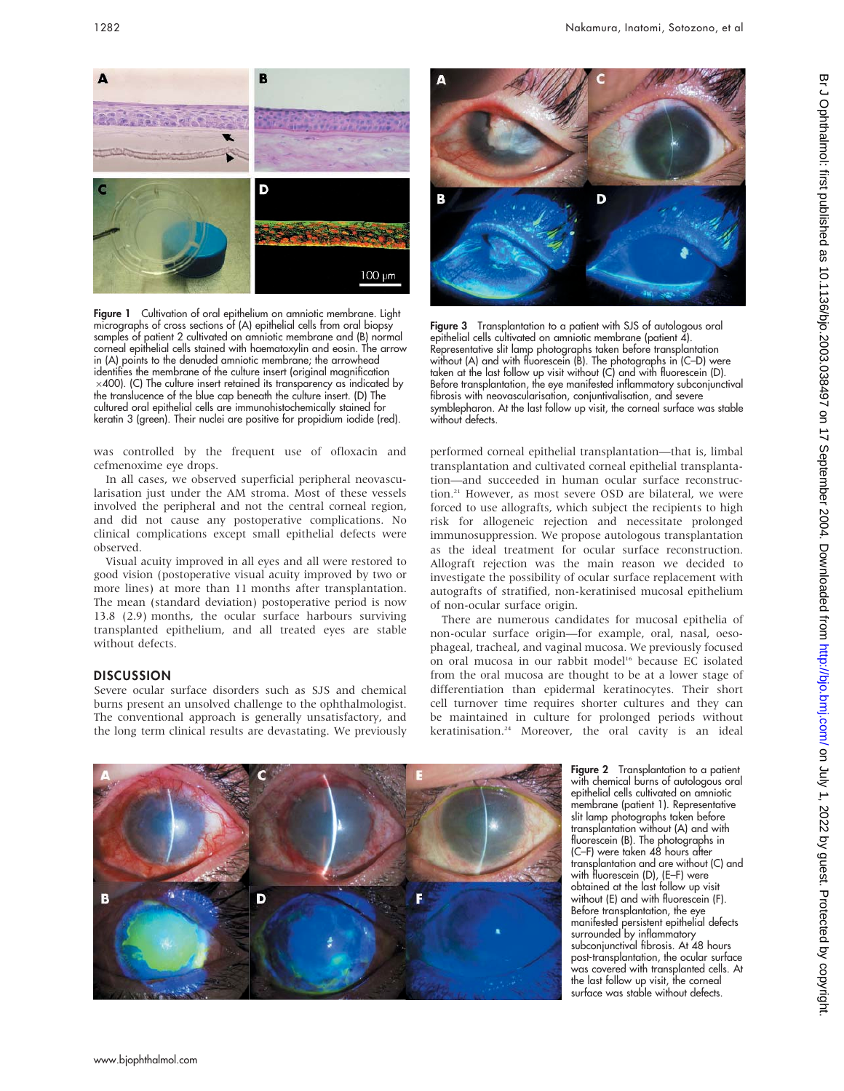

Figure 1 Cultivation of oral epithelium on amniotic membrane. Light micrographs of cross sections of (A) epithelial cells from oral biopsy samples of patient 2 cultivated on amniotic membrane and (B) normal corneal epithelial cells stained with haematoxylin and eosin. The arrow in (A) points to the denuded amniotic membrane; the arrowhead identifies the membrane of the culture insert (original magnification  $\times$ 400). (C) The culture insert retained its transparency as indicated by the translucence of the blue cap beneath the culture insert. (D) The cultured oral epithelial cells are immunohistochemically stained for keratin 3 (green). Their nuclei are positive for propidium iodide (red).

was controlled by the frequent use of ofloxacin and cefmenoxime eye drops.

In all cases, we observed superficial peripheral neovascularisation just under the AM stroma. Most of these vessels involved the peripheral and not the central corneal region, and did not cause any postoperative complications. No clinical complications except small epithelial defects were observed.

Visual acuity improved in all eyes and all were restored to good vision (postoperative visual acuity improved by two or more lines) at more than 11 months after transplantation. The mean (standard deviation) postoperative period is now 13.8 (2.9) months, the ocular surface harbours surviving transplanted epithelium, and all treated eyes are stable without defects.

#### **DISCUSSION**

Severe ocular surface disorders such as SJS and chemical burns present an unsolved challenge to the ophthalmologist. The conventional approach is generally unsatisfactory, and the long term clinical results are devastating. We previously



Figure 3 Transplantation to a patient with SJS of autologous oral epithelial cells cultivated on amniotic membrane (patient  $\bar{A}$ ). Representative slit lamp photographs taken before transplantation without (A) and with fluorescein (B). The photographs in (C-D) were taken at the last follow up visit without (C) and with fluorescein (D). Before transplantation, the eye manifested inflammatory subconjunctival fibrosis with neovascularisation, conjuntivalisation, and severe symblepharon. At the last follow up visit, the corneal surface was stable without defects.

performed corneal epithelial transplantation—that is, limbal transplantation and cultivated corneal epithelial transplantation—and succeeded in human ocular surface reconstruction.<sup>21</sup> However, as most severe OSD are bilateral, we were forced to use allografts, which subject the recipients to high risk for allogeneic rejection and necessitate prolonged immunosuppression. We propose autologous transplantation as the ideal treatment for ocular surface reconstruction. Allograft rejection was the main reason we decided to investigate the possibility of ocular surface replacement with autografts of stratified, non-keratinised mucosal epithelium of non-ocular surface origin.

There are numerous candidates for mucosal epithelia of non-ocular surface origin—for example, oral, nasal, oesophageal, tracheal, and vaginal mucosa. We previously focused on oral mucosa in our rabbit model<sup>16</sup> because EC isolated from the oral mucosa are thought to be at a lower stage of differentiation than epidermal keratinocytes. Their short cell turnover time requires shorter cultures and they can be maintained in culture for prolonged periods without keratinisation.<sup>24</sup> Moreover, the oral cavity is an ideal



Figure 2 Transplantation to a patient with chemical burns of autologous oral epithelial cells cultivated on amniotic membrane (patient 1). Representative slit lamp photographs taken before transplantation without (A) and with fluorescein (B). The photographs in (C–F) were taken 48 hours after transplantation and are without (C) and with fluorescein (D), (E–F) were obtained at the last follow up visit without (E) and with fluorescein (F). Before transplantation, the eye manifested persistent epithelial defects surrounded by inflammatory subconjunctival fibrosis. At 48 hours post-transplantation, the ocular surface was covered with transplanted cells. At the last follow up visit, the corneal surface was stable without defects.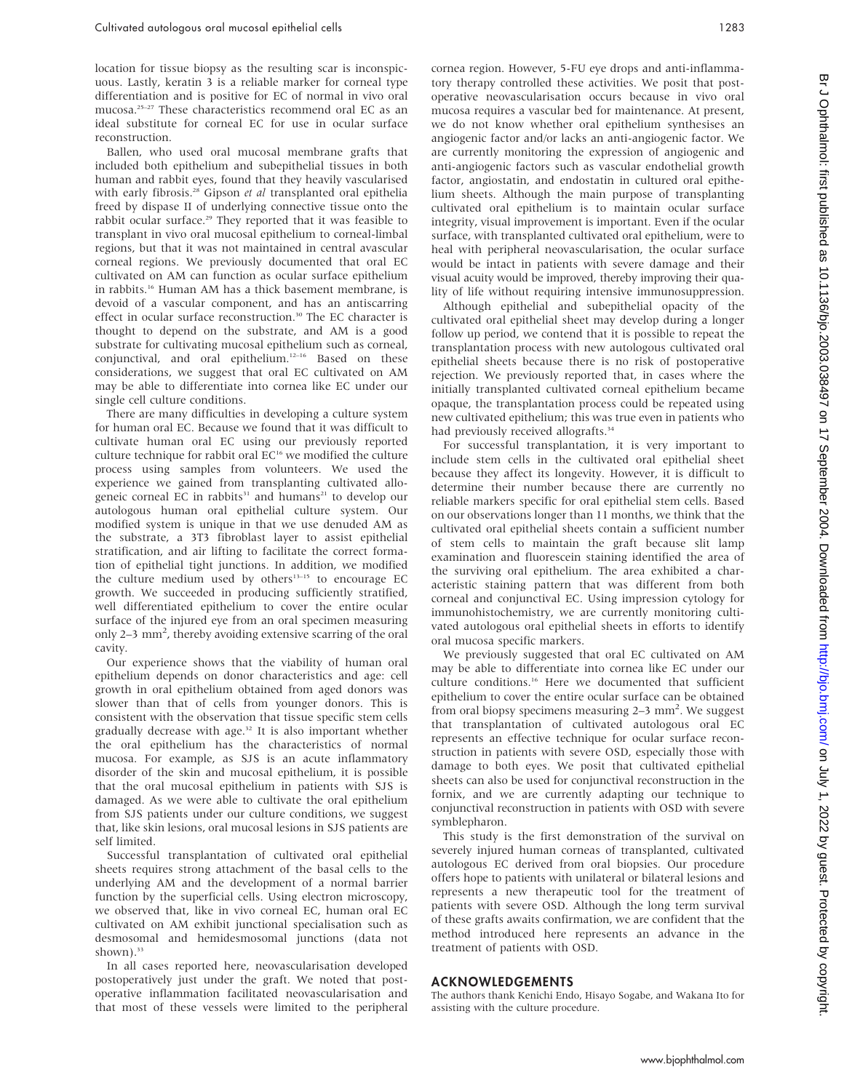location for tissue biopsy as the resulting scar is inconspicuous. Lastly, keratin 3 is a reliable marker for corneal type differentiation and is positive for EC of normal in vivo oral mucosa.<sup>25-27</sup> These characteristics recommend oral EC as an ideal substitute for corneal EC for use in ocular surface reconstruction.

Ballen, who used oral mucosal membrane grafts that included both epithelium and subepithelial tissues in both human and rabbit eyes, found that they heavily vascularised with early fibrosis.<sup>28</sup> Gipson et al transplanted oral epithelia freed by dispase II of underlying connective tissue onto the rabbit ocular surface.<sup>29</sup> They reported that it was feasible to transplant in vivo oral mucosal epithelium to corneal-limbal regions, but that it was not maintained in central avascular corneal regions. We previously documented that oral EC cultivated on AM can function as ocular surface epithelium in rabbits.<sup>16</sup> Human AM has a thick basement membrane, is devoid of a vascular component, and has an antiscarring effect in ocular surface reconstruction.<sup>30</sup> The EC character is thought to depend on the substrate, and AM is a good substrate for cultivating mucosal epithelium such as corneal, conjunctival, and oral epithelium.<sup>12-16</sup> Based on these considerations, we suggest that oral EC cultivated on AM may be able to differentiate into cornea like EC under our single cell culture conditions.

There are many difficulties in developing a culture system for human oral EC. Because we found that it was difficult to cultivate human oral EC using our previously reported culture technique for rabbit oral EC<sup>16</sup> we modified the culture process using samples from volunteers. We used the experience we gained from transplanting cultivated allogeneic corneal EC in rabbits<sup>31</sup> and humans<sup>21</sup> to develop our autologous human oral epithelial culture system. Our modified system is unique in that we use denuded AM as the substrate, a 3T3 fibroblast layer to assist epithelial stratification, and air lifting to facilitate the correct formation of epithelial tight junctions. In addition, we modified the culture medium used by others<sup>13-15</sup> to encourage EC growth. We succeeded in producing sufficiently stratified, well differentiated epithelium to cover the entire ocular surface of the injured eye from an oral specimen measuring only 2-3 mm<sup>2</sup>, thereby avoiding extensive scarring of the oral cavity.

Our experience shows that the viability of human oral epithelium depends on donor characteristics and age: cell growth in oral epithelium obtained from aged donors was slower than that of cells from younger donors. This is consistent with the observation that tissue specific stem cells gradually decrease with age.<sup>32</sup> It is also important whether the oral epithelium has the characteristics of normal mucosa. For example, as SJS is an acute inflammatory disorder of the skin and mucosal epithelium, it is possible that the oral mucosal epithelium in patients with SJS is damaged. As we were able to cultivate the oral epithelium from SJS patients under our culture conditions, we suggest that, like skin lesions, oral mucosal lesions in SJS patients are self limited.

Successful transplantation of cultivated oral epithelial sheets requires strong attachment of the basal cells to the underlying AM and the development of a normal barrier function by the superficial cells. Using electron microscopy, we observed that, like in vivo corneal EC, human oral EC cultivated on AM exhibit junctional specialisation such as desmosomal and hemidesmosomal junctions (data not shown). $33$ 

In all cases reported here, neovascularisation developed postoperatively just under the graft. We noted that postoperative inflammation facilitated neovascularisation and that most of these vessels were limited to the peripheral cornea region. However, 5-FU eye drops and anti-inflammatory therapy controlled these activities. We posit that postoperative neovascularisation occurs because in vivo oral mucosa requires a vascular bed for maintenance. At present, we do not know whether oral epithelium synthesises an angiogenic factor and/or lacks an anti-angiogenic factor. We are currently monitoring the expression of angiogenic and anti-angiogenic factors such as vascular endothelial growth factor, angiostatin, and endostatin in cultured oral epithelium sheets. Although the main purpose of transplanting cultivated oral epithelium is to maintain ocular surface integrity, visual improvement is important. Even if the ocular surface, with transplanted cultivated oral epithelium, were to heal with peripheral neovascularisation, the ocular surface would be intact in patients with severe damage and their visual acuity would be improved, thereby improving their quality of life without requiring intensive immunosuppression.

Although epithelial and subepithelial opacity of the cultivated oral epithelial sheet may develop during a longer follow up period, we contend that it is possible to repeat the transplantation process with new autologous cultivated oral epithelial sheets because there is no risk of postoperative rejection. We previously reported that, in cases where the initially transplanted cultivated corneal epithelium became opaque, the transplantation process could be repeated using new cultivated epithelium; this was true even in patients who had previously received allografts.<sup>34</sup>

For successful transplantation, it is very important to include stem cells in the cultivated oral epithelial sheet because they affect its longevity. However, it is difficult to determine their number because there are currently no reliable markers specific for oral epithelial stem cells. Based on our observations longer than 11 months, we think that the cultivated oral epithelial sheets contain a sufficient number of stem cells to maintain the graft because slit lamp examination and fluorescein staining identified the area of the surviving oral epithelium. The area exhibited a characteristic staining pattern that was different from both corneal and conjunctival EC. Using impression cytology for immunohistochemistry, we are currently monitoring cultivated autologous oral epithelial sheets in efforts to identify oral mucosa specific markers.

We previously suggested that oral EC cultivated on AM may be able to differentiate into cornea like EC under our culture conditions.16 Here we documented that sufficient epithelium to cover the entire ocular surface can be obtained from oral biopsy specimens measuring 2-3 mm<sup>2</sup>. We suggest that transplantation of cultivated autologous oral EC represents an effective technique for ocular surface reconstruction in patients with severe OSD, especially those with damage to both eyes. We posit that cultivated epithelial sheets can also be used for conjunctival reconstruction in the fornix, and we are currently adapting our technique to conjunctival reconstruction in patients with OSD with severe symblepharon.

This study is the first demonstration of the survival on severely injured human corneas of transplanted, cultivated autologous EC derived from oral biopsies. Our procedure offers hope to patients with unilateral or bilateral lesions and represents a new therapeutic tool for the treatment of patients with severe OSD. Although the long term survival of these grafts awaits confirmation, we are confident that the method introduced here represents an advance in the treatment of patients with OSD.

#### ACKNOWLEDGEMENTS

The authors thank Kenichi Endo, Hisayo Sogabe, and Wakana Ito for assisting with the culture procedure.